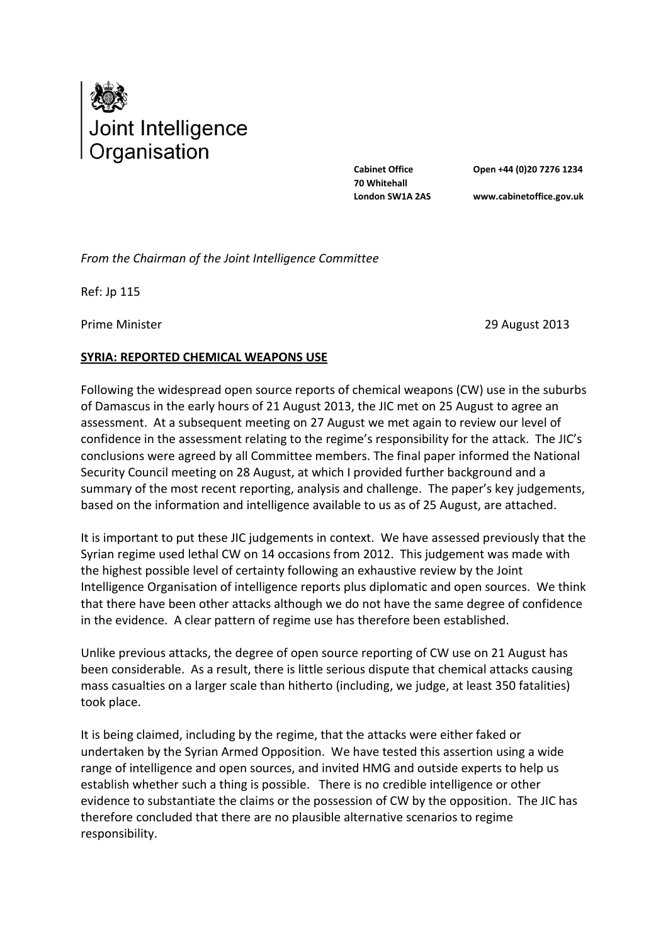

**Cabinet Office 70 Whitehall London SW1A 2AS**

**Open +44 (0)20 7276 1234 www.cabinetoffice.gov.uk**

*From the Chairman of the Joint Intelligence Committee*

Ref: Jp 115

Prime Minister 2013

## **SYRIA: REPORTED CHEMICAL WEAPONS USE**

Following the widespread open source reports of chemical weapons (CW) use in the suburbs of Damascus in the early hours of 21 August 2013, the JIC met on 25 August to agree an assessment. At a subsequent meeting on 27 August we met again to review our level of confidence in the assessment relating to the regime's responsibility for the attack. The JIC's conclusions were agreed by all Committee members. The final paper informed the National Security Council meeting on 28 August, at which I provided further background and a summary of the most recent reporting, analysis and challenge. The paper's key judgements, based on the information and intelligence available to us as of 25 August, are attached.

It is important to put these JIC judgements in context. We have assessed previously that the Syrian regime used lethal CW on 14 occasions from 2012. This judgement was made with the highest possible level of certainty following an exhaustive review by the Joint Intelligence Organisation of intelligence reports plus diplomatic and open sources. We think that there have been other attacks although we do not have the same degree of confidence in the evidence. A clear pattern of regime use has therefore been established.

Unlike previous attacks, the degree of open source reporting of CW use on 21 August has been considerable. As a result, there is little serious dispute that chemical attacks causing mass casualties on a larger scale than hitherto (including, we judge, at least 350 fatalities) took place.

It is being claimed, including by the regime, that the attacks were either faked or undertaken by the Syrian Armed Opposition. We have tested this assertion using a wide range of intelligence and open sources, and invited HMG and outside experts to help us establish whether such a thing is possible. There is no credible intelligence or other evidence to substantiate the claims or the possession of CW by the opposition. The JIC has therefore concluded that there are no plausible alternative scenarios to regime responsibility.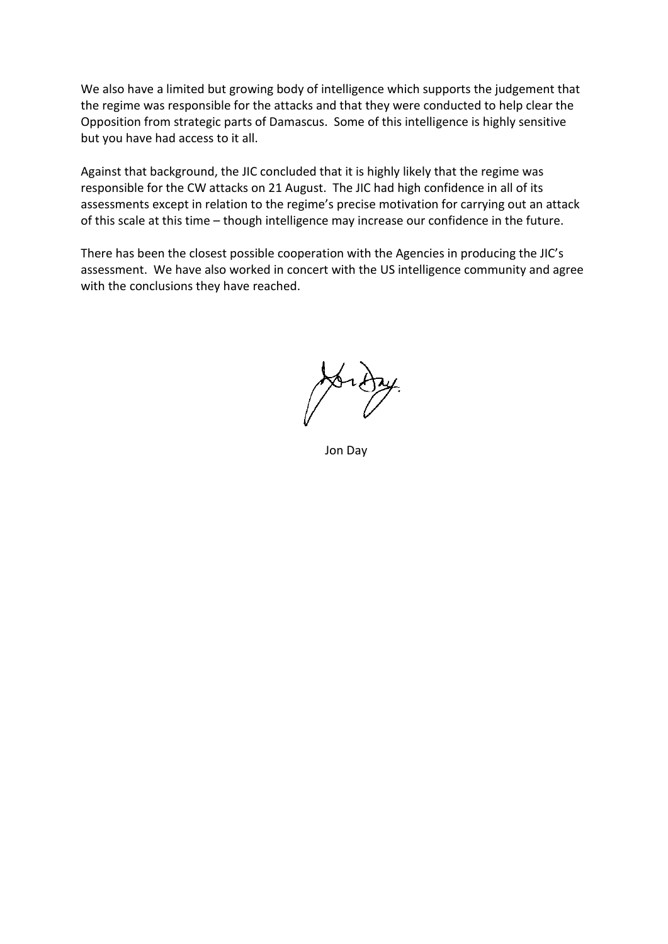We also have a limited but growing body of intelligence which supports the judgement that the regime was responsible for the attacks and that they were conducted to help clear the Opposition from strategic parts of Damascus. Some of this intelligence is highly sensitive but you have had access to it all.

Against that background, the JIC concluded that it is highly likely that the regime was responsible for the CW attacks on 21 August. The JIC had high confidence in all of its assessments except in relation to the regime's precise motivation for carrying out an attack of this scale at this time – though intelligence may increase our confidence in the future.

There has been the closest possible cooperation with the Agencies in producing the JIC's assessment. We have also worked in concert with the US intelligence community and agree with the conclusions they have reached.

Jon Day